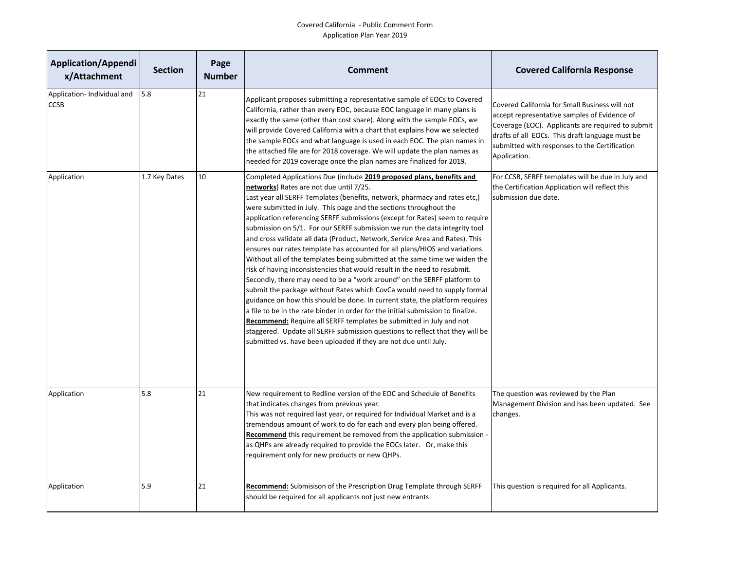## Covered California - Public Comment Form Application Plan Year 2019

| <b>Application/Appendi</b><br>x/Attachment | <b>Section</b> | Page<br><b>Number</b> | <b>Comment</b>                                                                                                                                                                                                                                                                                                                                                                                                                                                                                                                                                                                                                                                                                                                                                                                                                                                                                                                                                                                                                                                                                                                                                                                                                                                                                                            | <b>Covered California Response</b>                                                                                                                                                                                                                                      |
|--------------------------------------------|----------------|-----------------------|---------------------------------------------------------------------------------------------------------------------------------------------------------------------------------------------------------------------------------------------------------------------------------------------------------------------------------------------------------------------------------------------------------------------------------------------------------------------------------------------------------------------------------------------------------------------------------------------------------------------------------------------------------------------------------------------------------------------------------------------------------------------------------------------------------------------------------------------------------------------------------------------------------------------------------------------------------------------------------------------------------------------------------------------------------------------------------------------------------------------------------------------------------------------------------------------------------------------------------------------------------------------------------------------------------------------------|-------------------------------------------------------------------------------------------------------------------------------------------------------------------------------------------------------------------------------------------------------------------------|
| Application-Individual and<br><b>CCSB</b>  | 5.8            | 21                    | Applicant proposes submitting a representative sample of EOCs to Covered<br>California, rather than every EOC, because EOC language in many plans is<br>exactly the same (other than cost share). Along with the sample EOCs, we<br>will provide Covered California with a chart that explains how we selected<br>the sample EOCs and what language is used in each EOC. The plan names in<br>the attached file are for 2018 coverage. We will update the plan names as<br>needed for 2019 coverage once the plan names are finalized for 2019.                                                                                                                                                                                                                                                                                                                                                                                                                                                                                                                                                                                                                                                                                                                                                                           | Covered California for Small Business will not<br>accept representative samples of Evidence of<br>Coverage (EOC). Applicants are required to submit<br>drafts of all EOCs. This draft language must be<br>submitted with responses to the Certification<br>Application. |
| Application                                | 1.7 Key Dates  | 10                    | Completed Applications Due (include 2019 proposed plans, benefits and<br>networks) Rates are not due until 7/25.<br>Last year all SERFF Templates (benefits, network, pharmacy and rates etc,)<br>were submitted in July. This page and the sections throughout the<br>application referencing SERFF submissions (except for Rates) seem to require<br>submission on 5/1. For our SERFF submission we run the data integrity tool<br>and cross validate all data (Product, Network, Service Area and Rates). This<br>ensures our rates template has accounted for all plans/HIOS and variations.<br>Without all of the templates being submitted at the same time we widen the<br>risk of having inconsistencies that would result in the need to resubmit.<br>Secondly, there may need to be a "work around" on the SERFF platform to<br>submit the package without Rates which CovCa would need to supply formal<br>guidance on how this should be done. In current state, the platform requires<br>a file to be in the rate binder in order for the initial submission to finalize.<br><b>Recommend:</b> Require all SERFF templates be submitted in July and not<br>staggered. Update all SERFF submission questions to reflect that they will be<br>submitted vs. have been uploaded if they are not due until July. | For CCSB, SERFF templates will be due in July and<br>the Certification Application will reflect this<br>submission due date.                                                                                                                                            |
| Application                                | 5.8            | 21                    | New requirement to Redline version of the EOC and Schedule of Benefits<br>that indicates changes from previous year.<br>This was not required last year, or required for Individual Market and is a<br>tremendous amount of work to do for each and every plan being offered.<br>Recommend this requirement be removed from the application submission -<br>as QHPs are already required to provide the EOCs later. Or, make this<br>requirement only for new products or new QHPs.                                                                                                                                                                                                                                                                                                                                                                                                                                                                                                                                                                                                                                                                                                                                                                                                                                       | The question was reviewed by the Plan<br>Management Division and has been updated. See<br>changes.                                                                                                                                                                      |
| Application                                | 5.9            | 21                    | Recommend: Submisison of the Prescription Drug Template through SERFF<br>should be required for all applicants not just new entrants                                                                                                                                                                                                                                                                                                                                                                                                                                                                                                                                                                                                                                                                                                                                                                                                                                                                                                                                                                                                                                                                                                                                                                                      | This question is required for all Applicants.                                                                                                                                                                                                                           |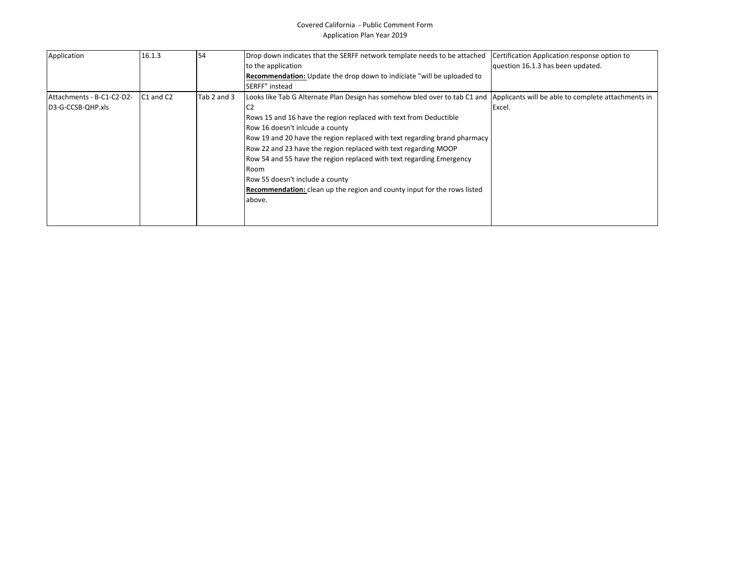## Covered California - Public Comment Form Application Plan Year 2019

| Application               | 16.1.3                            | 54          | Drop down indicates that the SERFF network template needs to be attached                                                      | Certification Application response option to |
|---------------------------|-----------------------------------|-------------|-------------------------------------------------------------------------------------------------------------------------------|----------------------------------------------|
|                           |                                   |             | to the application                                                                                                            | question 16.1.3 has been updated.            |
|                           |                                   |             | <b>Recommendation:</b> Update the drop down to indiciate "will be uploaded to                                                 |                                              |
|                           |                                   |             | <b>SERFF</b> " instead                                                                                                        |                                              |
| Attachments - B-C1-C2-D2- | C <sub>1</sub> and C <sub>2</sub> | Tab 2 and 3 | Looks like Tab G Alternate Plan Design has somehow bled over to tab C1 and Applicants will be able to complete attachments in |                                              |
| D3-G-CCSB-QHP.xls         |                                   |             |                                                                                                                               | Excel.                                       |
|                           |                                   |             | Rows 15 and 16 have the region replaced with text from Deductible                                                             |                                              |
|                           |                                   |             | Row 16 doesn't inlcude a county                                                                                               |                                              |
|                           |                                   |             | Row 19 and 20 have the region replaced with text regarding brand pharmacy                                                     |                                              |
|                           |                                   |             | Row 22 and 23 have the region replaced with text regarding MOOP                                                               |                                              |
|                           |                                   |             | Row 54 and 55 have the region replaced with text regarding Emergency                                                          |                                              |
|                           |                                   |             | Room                                                                                                                          |                                              |
|                           |                                   |             | Row 55 doesn't include a county                                                                                               |                                              |
|                           |                                   |             | <b>Recommendation:</b> clean up the region and county input for the rows listed                                               |                                              |
|                           |                                   |             | above.                                                                                                                        |                                              |
|                           |                                   |             |                                                                                                                               |                                              |
|                           |                                   |             |                                                                                                                               |                                              |